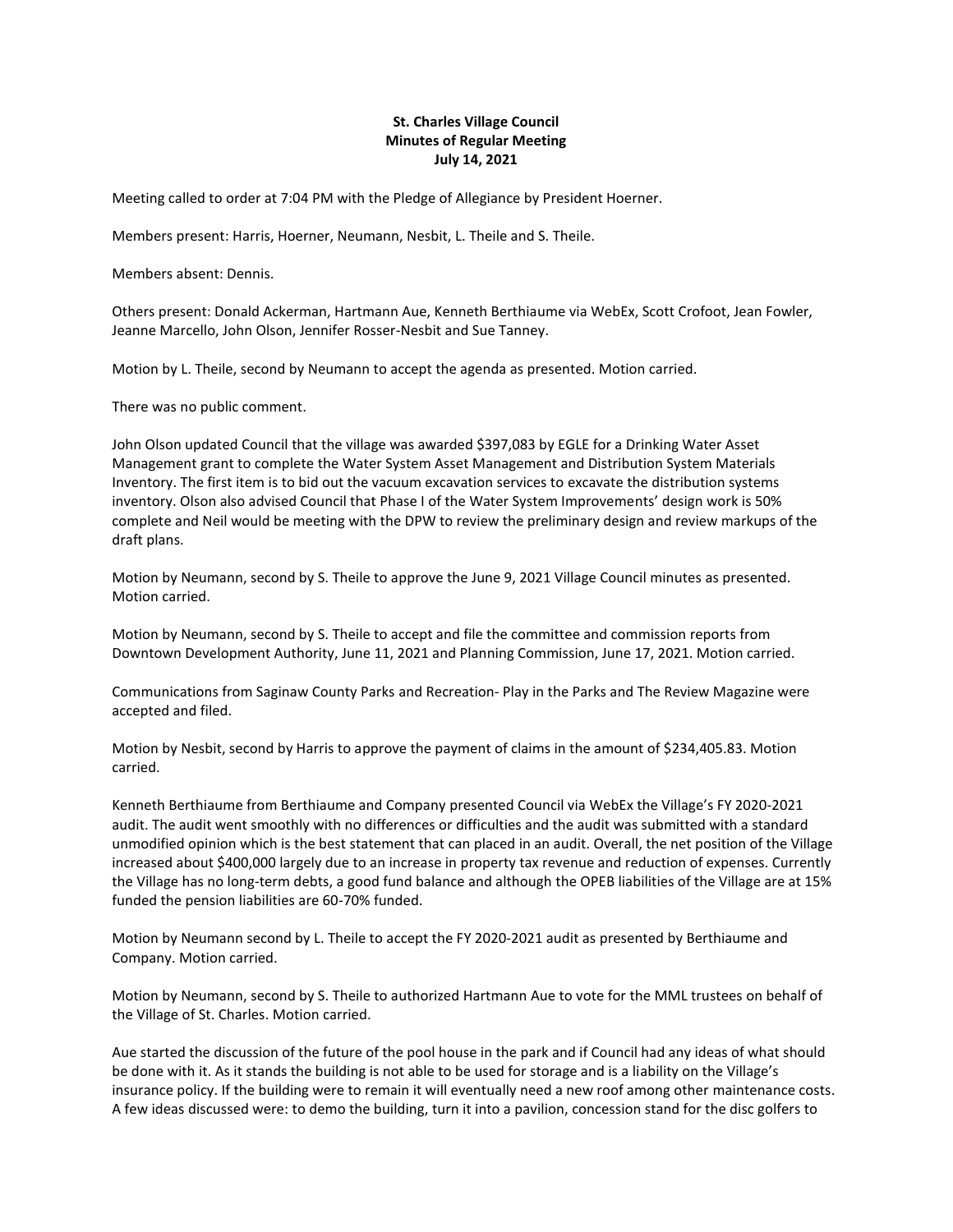## **St. Charles Village Council Minutes of Regular Meeting July 14, 2021**

Meeting called to order at 7:04 PM with the Pledge of Allegiance by President Hoerner.

Members present: Harris, Hoerner, Neumann, Nesbit, L. Theile and S. Theile.

Members absent: Dennis.

Others present: Donald Ackerman, Hartmann Aue, Kenneth Berthiaume via WebEx, Scott Crofoot, Jean Fowler, Jeanne Marcello, John Olson, Jennifer Rosser-Nesbit and Sue Tanney.

Motion by L. Theile, second by Neumann to accept the agenda as presented. Motion carried.

There was no public comment.

John Olson updated Council that the village was awarded \$397,083 by EGLE for a Drinking Water Asset Management grant to complete the Water System Asset Management and Distribution System Materials Inventory. The first item is to bid out the vacuum excavation services to excavate the distribution systems inventory. Olson also advised Council that Phase I of the Water System Improvements' design work is 50% complete and Neil would be meeting with the DPW to review the preliminary design and review markups of the draft plans.

Motion by Neumann, second by S. Theile to approve the June 9, 2021 Village Council minutes as presented. Motion carried.

Motion by Neumann, second by S. Theile to accept and file the committee and commission reports from Downtown Development Authority, June 11, 2021 and Planning Commission, June 17, 2021. Motion carried.

Communications from Saginaw County Parks and Recreation- Play in the Parks and The Review Magazine were accepted and filed.

Motion by Nesbit, second by Harris to approve the payment of claims in the amount of \$234,405.83. Motion carried.

Kenneth Berthiaume from Berthiaume and Company presented Council via WebEx the Village's FY 2020-2021 audit. The audit went smoothly with no differences or difficulties and the audit was submitted with a standard unmodified opinion which is the best statement that can placed in an audit. Overall, the net position of the Village increased about \$400,000 largely due to an increase in property tax revenue and reduction of expenses. Currently the Village has no long-term debts, a good fund balance and although the OPEB liabilities of the Village are at 15% funded the pension liabilities are 60-70% funded.

Motion by Neumann second by L. Theile to accept the FY 2020-2021 audit as presented by Berthiaume and Company. Motion carried.

Motion by Neumann, second by S. Theile to authorized Hartmann Aue to vote for the MML trustees on behalf of the Village of St. Charles. Motion carried.

Aue started the discussion of the future of the pool house in the park and if Council had any ideas of what should be done with it. As it stands the building is not able to be used for storage and is a liability on the Village's insurance policy. If the building were to remain it will eventually need a new roof among other maintenance costs. A few ideas discussed were: to demo the building, turn it into a pavilion, concession stand for the disc golfers to